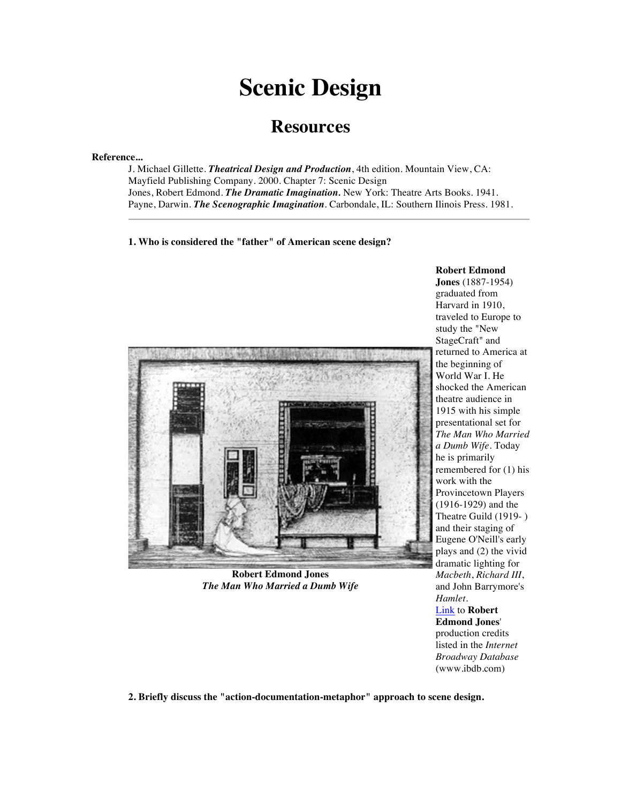# **Scenic Design**

# **Resources**

#### **Reference...**

J. Michael Gillette. *Theatrical Design and Production*, 4th edition. Mountain View, CA: Mayfield Publishing Company. 2000. Chapter 7: Scenic Design Jones, Robert Edmond. *The Dramatic Imagination.* New York: Theatre Arts Books. 1941. Payne, Darwin. *The Scenographic Imagination*. Carbondale, IL: Southern Ilinois Press. 1981.

**1. Who is considered the "father" of American scene design?**



**Robert Edmond Jones** *The Man Who Married a Dumb Wife*

**Robert Edmond Jones** (1887-1954) graduated from Harvard in 1910, traveled to Europe to study the "New StageCraft" and returned to America at the beginning of World War I. He shocked the American theatre audience in 1915 with his simple presentational set for *The Man Who Married a Dumb Wife*. Today he is primarily remembered for (1) his work with the Provincetown Players (1916-1929) and the Theatre Guild (1919- ) and their staging of Eugene O'Neill's early plays and (2) the vivid dramatic lighting for *Macbeth*, *Richard III*, and John Barrymore's *Hamlet*. Link to **Robert Edmond Jones**'

production credits listed in the *Internet Broadway Database* (www.ibdb.com)

**2. Briefly discuss the "action-documentation-metaphor" approach to scene design.**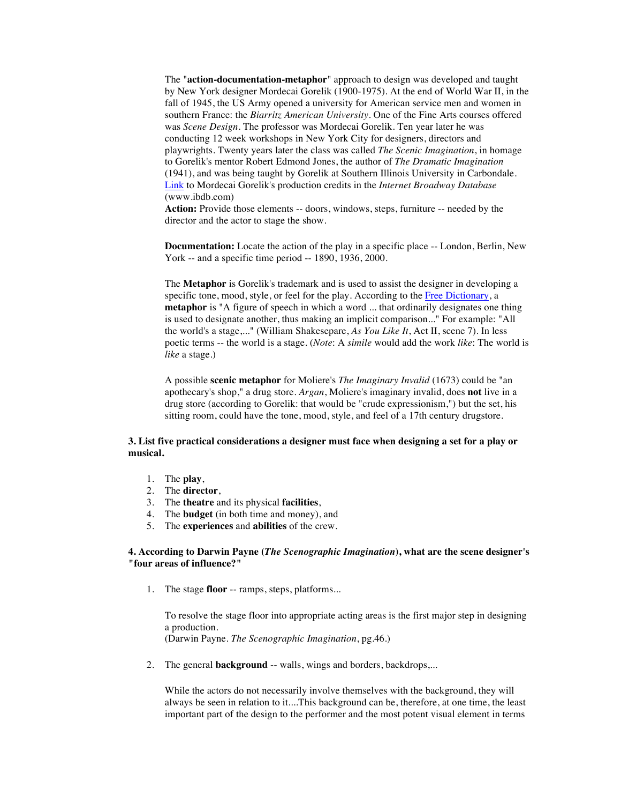The "**action-documentation-metaphor**" approach to design was developed and taught by New York designer Mordecai Gorelik (1900-1975). At the end of World War II, in the fall of 1945, the US Army opened a university for American service men and women in southern France: the *Biarritz American University*. One of the Fine Arts courses offered was *Scene Design*. The professor was Mordecai Gorelik. Ten year later he was conducting 12 week workshops in New York City for designers, directors and playwrights. Twenty years later the class was called *The Scenic Imagination*, in homage to Gorelik's mentor Robert Edmond Jones, the author of *The Dramatic Imagination* (1941), and was being taught by Gorelik at Southern Illinois University in Carbondale. Link to Mordecai Gorelik's production credits in the *Internet Broadway Database* (www.ibdb.com)

**Action:** Provide those elements -- doors, windows, steps, furniture -- needed by the director and the actor to stage the show.

**Documentation:** Locate the action of the play in a specific place -- London, Berlin, New York -- and a specific time period -- 1890, 1936, 2000.

The **Metaphor** is Gorelik's trademark and is used to assist the designer in developing a specific tone, mood, style, or feel for the play. According to the Free Dictionary, a **metaphor** is "A figure of speech in which a word ... that ordinarily designates one thing is used to designate another, thus making an implicit comparison..." For example: "All the world's a stage,..." (William Shakesepare, *As You Like It*, Act II, scene 7). In less poetic terms -- the world is a stage. (*Note*: A *simile* would add the work *like*: The world is *like* a stage.)

A possible **scenic metaphor** for Moliere's *The Imaginary Invalid* (1673) could be "an apothecary's shop," a drug store. *Argan*, Moliere's imaginary invalid, does **not** live in a drug store (according to Gorelik: that would be "crude expressionism,") but the set, his sitting room, could have the tone, mood, style, and feel of a 17th century drugstore.

# **3. List five practical considerations a designer must face when designing a set for a play or musical.**

- 1. The **play**,
- 2. The **director**,
- 3. The **theatre** and its physical **facilities**,
- 4. The **budget** (in both time and money), and
- 5. The **experiences** and **abilities** of the crew.

# **4. According to Darwin Payne (***The Scenographic Imagination***), what are the scene designer's "four areas of influence?"**

1. The stage **floor** -- ramps, steps, platforms...

To resolve the stage floor into appropriate acting areas is the first major step in designing a production. (Darwin Payne. *The Scenographic Imagination*, pg.46.)

2. The general **background** -- walls, wings and borders, backdrops,...

While the actors do not necessarily involve themselves with the background, they will always be seen in relation to it....This background can be, therefore, at one time, the least important part of the design to the performer and the most potent visual element in terms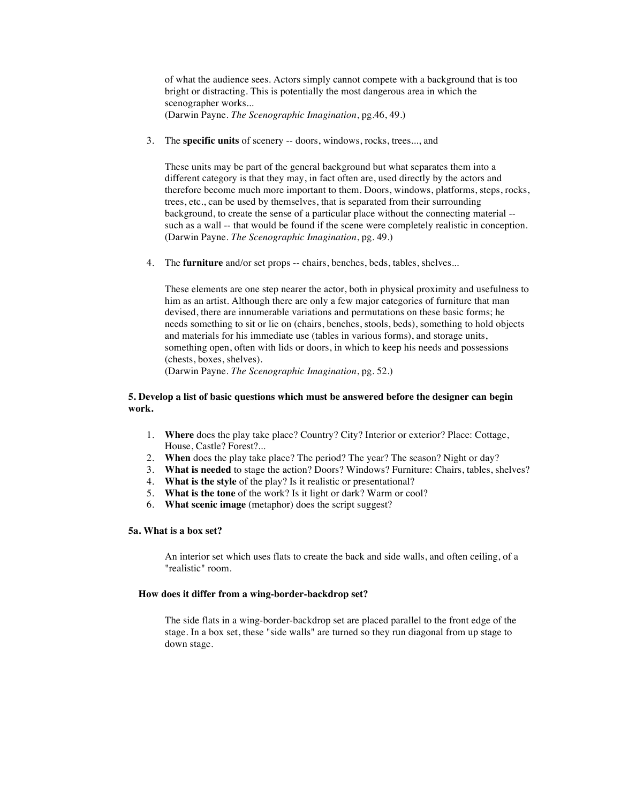of what the audience sees. Actors simply cannot compete with a background that is too bright or distracting. This is potentially the most dangerous area in which the scenographer works... (Darwin Payne. *The Scenographic Imagination*, pg.46, 49.)

3. The **specific units** of scenery -- doors, windows, rocks, trees..., and

These units may be part of the general background but what separates them into a different category is that they may, in fact often are, used directly by the actors and therefore become much more important to them. Doors, windows, platforms, steps, rocks, trees, etc., can be used by themselves, that is separated from their surrounding background, to create the sense of a particular place without the connecting material - such as a wall -- that would be found if the scene were completely realistic in conception. (Darwin Payne. *The Scenographic Imagination*, pg. 49.)

4. The **furniture** and/or set props -- chairs, benches, beds, tables, shelves...

These elements are one step nearer the actor, both in physical proximity and usefulness to him as an artist. Although there are only a few major categories of furniture that man devised, there are innumerable variations and permutations on these basic forms; he needs something to sit or lie on (chairs, benches, stools, beds), something to hold objects and materials for his immediate use (tables in various forms), and storage units, something open, often with lids or doors, in which to keep his needs and possessions (chests, boxes, shelves).

(Darwin Payne. *The Scenographic Imagination*, pg. 52.)

# **5. Develop a list of basic questions which must be answered before the designer can begin work.**

- 1. **Where** does the play take place? Country? City? Interior or exterior? Place: Cottage, House, Castle? Forest?...
- 2. **When** does the play take place? The period? The year? The season? Night or day?
- 3. **What is needed** to stage the action? Doors? Windows? Furniture: Chairs, tables, shelves?
- 4. **What is the style** of the play? Is it realistic or presentational?
- 5. **What is the tone** of the work? Is it light or dark? Warm or cool?
- 6. **What scenic image** (metaphor) does the script suggest?

# **5a. What is a box set?**

An interior set which uses flats to create the back and side walls, and often ceiling, of a "realistic" room.

## **How does it differ from a wing-border-backdrop set?**

The side flats in a wing-border-backdrop set are placed parallel to the front edge of the stage. In a box set, these "side walls" are turned so they run diagonal from up stage to down stage.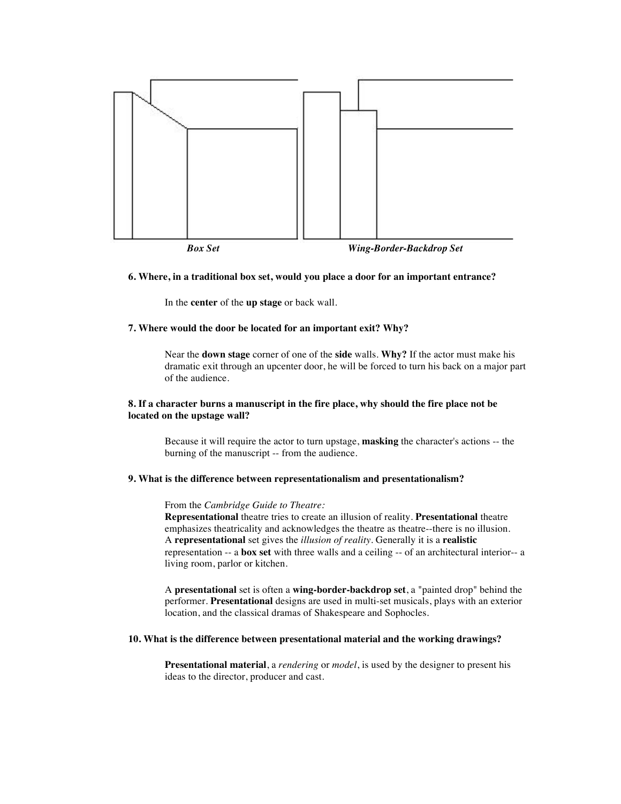

# **6. Where, in a traditional box set, would you place a door for an important entrance?**

In the **center** of the **up stage** or back wall.

# **7. Where would the door be located for an important exit? Why?**

Near the **down stage** corner of one of the **side** walls. **Why?** If the actor must make his dramatic exit through an upcenter door, he will be forced to turn his back on a major part of the audience.

# **8. If a character burns a manuscript in the fire place, why should the fire place not be located on the upstage wall?**

Because it will require the actor to turn upstage, **masking** the character's actions -- the burning of the manuscript -- from the audience.

#### **9. What is the difference between representationalism and presentationalism?**

## From the *Cambridge Guide to Theatre:*

**Representational** theatre tries to create an illusion of reality. **Presentational** theatre emphasizes theatricality and acknowledges the theatre as theatre--there is no illusion. A **representational** set gives the *illusion of reality*. Generally it is a **realistic** representation -- a **box set** with three walls and a ceiling -- of an architectural interior-- a living room, parlor or kitchen.

A **presentational** set is often a **wing-border-backdrop set**, a "painted drop" behind the performer. **Presentational** designs are used in multi-set musicals, plays with an exterior location, and the classical dramas of Shakespeare and Sophocles.

# **10. What is the difference between presentational material and the working drawings?**

**Presentational material**, a *rendering* or *model*, is used by the designer to present his ideas to the director, producer and cast.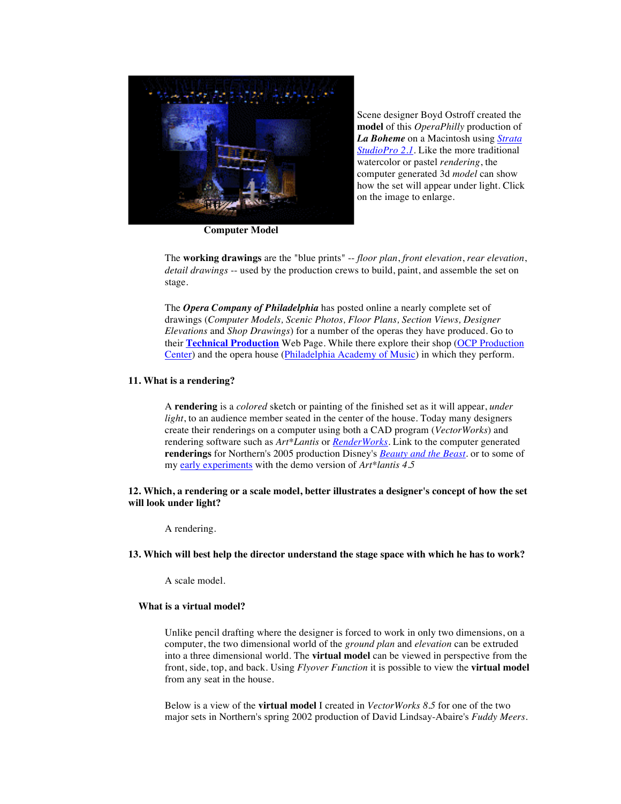

Scene designer Boyd Ostroff created the **model** of this *OperaPhilly* production of *La Boheme* on a Macintosh using *Strata StudioPro 2.1*. Like the more traditional watercolor or pastel *rendering*, the computer generated 3d *model* can show how the set will appear under light. Click on the image to enlarge.

**Computer Model**

The **working drawings** are the "blue prints" -- *floor plan*, *front elevation*, *rear elevation*, *detail drawings* -- used by the production crews to build, paint, and assemble the set on stage.

The *Opera Company of Philadelphia* has posted online a nearly complete set of drawings (*Computer Models, Scenic Photos, Floor Plans, Section Views, Designer Elevations* and *Shop Drawings*) for a number of the operas they have produced. Go to their **Technical Production** Web Page. While there explore their shop (OCP Production Center) and the opera house (Philadelphia Academy of Music) in which they perform.

# **11. What is a rendering?**

A **rendering** is a *colored* sketch or painting of the finished set as it will appear, *under light*, to an audience member seated in the center of the house. Today many designers create their renderings on a computer using both a CAD program (*VectorWorks*) and rendering software such as *Art\*Lantis* or *RenderWorks*. Link to the computer generated **renderings** for Northern's 2005 production Disney's *Beauty and the Beast*. or to some of my early experiments with the demo version of *Art\*lantis 4.5*

**12. Which, a rendering or a scale model, better illustrates a designer's concept of how the set will look under light?**

A rendering.

### **13. Which will best help the director understand the stage space with which he has to work?**

A scale model.

#### **What is a virtual model?**

Unlike pencil drafting where the designer is forced to work in only two dimensions, on a computer, the two dimensional world of the *ground plan* and *elevation* can be extruded into a three dimensional world. The **virtual model** can be viewed in perspective from the front, side, top, and back. Using *Flyover Function* it is possible to view the **virtual model** from any seat in the house.

Below is a view of the **virtual model** I created in *VectorWorks 8.5* for one of the two major sets in Northern's spring 2002 production of David Lindsay-Abaire's *Fuddy Meers*.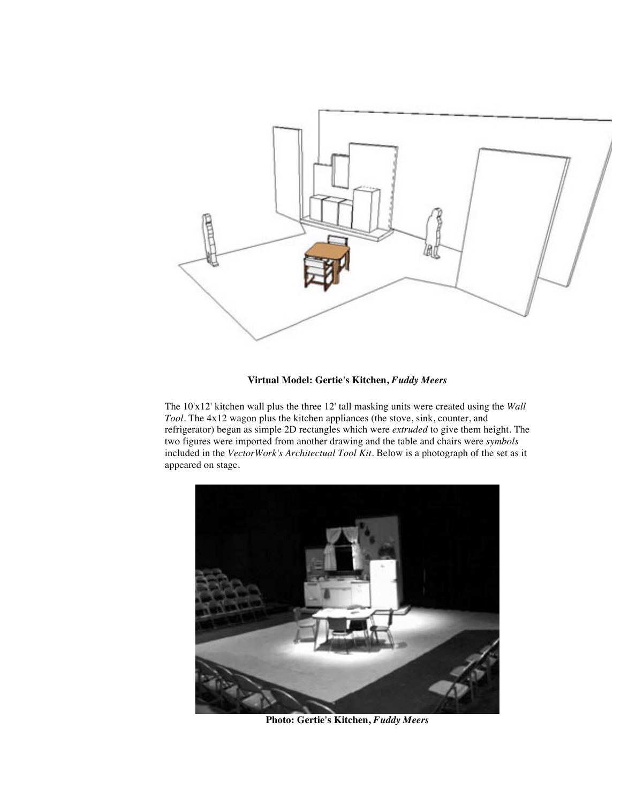

# **Virtual Model: Gertie's Kitchen,** *Fuddy Meers*

The 10'x12' kitchen wall plus the three 12' tall masking units were created using the *Wall Tool*. The 4x12 wagon plus the kitchen appliances (the stove, sink, counter, and refrigerator) began as simple 2D rectangles which were *extruded* to give them height. The two figures were imported from another drawing and the table and chairs were *symbols* included in the *VectorWork's Architectual Tool Kit*. Below is a photograph of the set as it appeared on stage.



**Photo: Gertie's Kitchen,** *Fuddy Meers*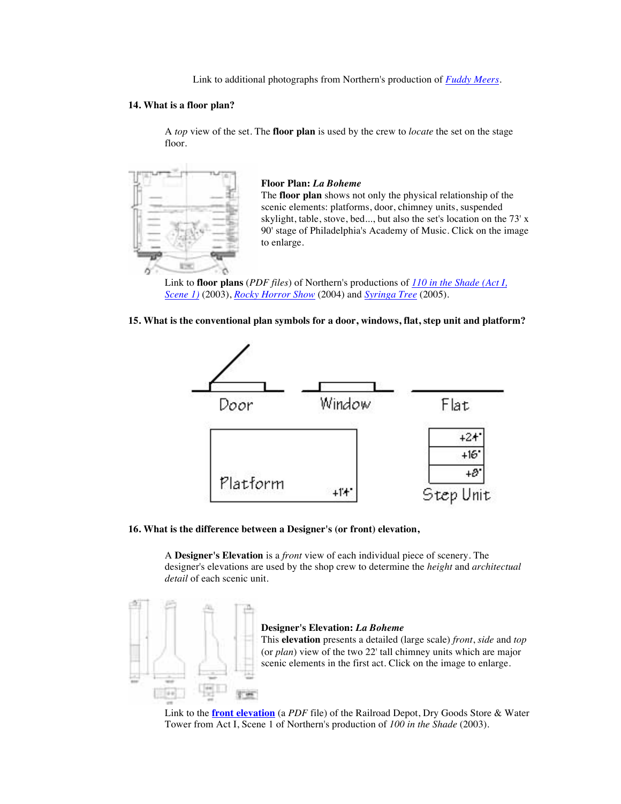Link to additional photographs from Northern's production of *Fuddy Meers*.

# **14. What is a floor plan?**

A *top* view of the set. The **floor plan** is used by the crew to *locate* the set on the stage floor.



**Floor Plan:** *La Boheme* The **floor plan** shows not only the physical relationship of the scenic elements: platforms, door, chimney units, suspended skylight, table, stove, bed..., but also the set's location on the 73' x 90' stage of Philadelphia's Academy of Music. Click on the image to enlarge.

Link to **floor plans** (*PDF files*) of Northern's productions of *110 in the Shade (Act I, Scene 1)* (2003), *Rocky Horror Show* (2004) and *Syringa Tree* (2005).





#### **16. What is the difference between a Designer's (or front) elevation,**

A **Designer's Elevation** is a *front* view of each individual piece of scenery. The designer's elevations are used by the shop crew to determine the *height* and *architectual detail* of each scenic unit.



# **Designer's Elevation:** *La Boheme*

This **elevation** presents a detailed (large scale) *front*, *side* and *top* (or *plan*) view of the two 22' tall chimney units which are major scenic elements in the first act. Click on the image to enlarge.

Link to the **front elevation** (a *PDF* file) of the Railroad Depot, Dry Goods Store & Water Tower from Act I, Scene 1 of Northern's production of *100 in the Shade* (2003).